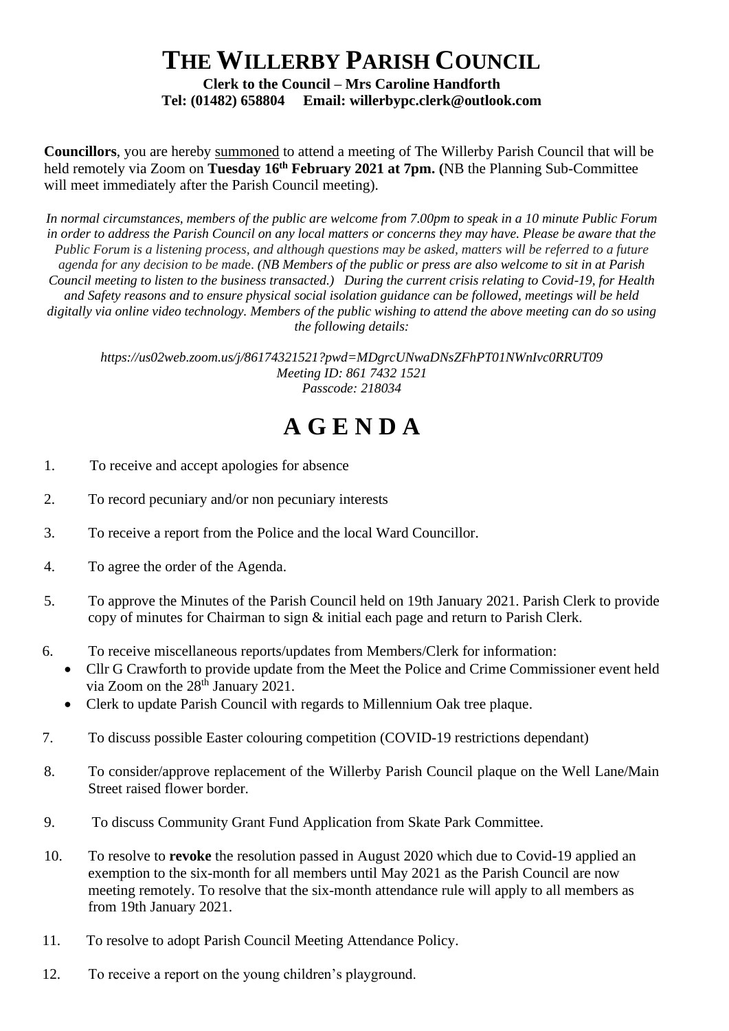## **THE WILLERBY PARISH COUNCIL**

**Clerk to the Council – Mrs Caroline Handforth Tel: (01482) 658804 Email: willerbypc.clerk@outlook.com**

**Councillors**, you are hereby summoned to attend a meeting of The Willerby Parish Council that will be held remotely via Zoom on **Tuesday 16th February 2021 at 7pm. (**NB the Planning Sub-Committee will meet immediately after the Parish Council meeting).

*In normal circumstances, members of the public are welcome from 7.00pm to speak in a 10 minute Public Forum in order to address the Parish Council on any local matters or concerns they may have. Please be aware that the Public Forum is a listening process, and although questions may be asked, matters will be referred to a future agenda for any decision to be mad*e. *(NB Members of the public or press are also welcome to sit in at Parish Council meeting to listen to the business transacted.) During the current crisis relating to Covid-19, for Health and Safety reasons and to ensure physical social isolation guidance can be followed, meetings will be held digitally via online video technology. Members of the public wishing to attend the above meeting can do so using the following details:*

*https://us02web.zoom.us/j/86174321521?pwd=MDgrcUNwaDNsZFhPT01NWnIvc0RRUT09 Meeting ID: 861 7432 1521 Passcode: 218034*

## **A G E N D A**

- 1. To receive and accept apologies for absence
- 2. To record pecuniary and/or non pecuniary interests
- 3. To receive a report from the Police and the local Ward Councillor.
- 4. To agree the order of the Agenda.
- 5. To approve the Minutes of the Parish Council held on 19th January 2021. Parish Clerk to provide copy of minutes for Chairman to sign & initial each page and return to Parish Clerk.
- 6. To receive miscellaneous reports/updates from Members/Clerk for information:
	- Cllr G Crawforth to provide update from the Meet the Police and Crime Commissioner event held via Zoom on the  $28<sup>th</sup>$  January 2021.
	- Clerk to update Parish Council with regards to Millennium Oak tree plaque.
- 7. To discuss possible Easter colouring competition (COVID-19 restrictions dependant)
- 8. To consider/approve replacement of the Willerby Parish Council plaque on the Well Lane/Main Street raised flower border.
- 9. To discuss Community Grant Fund Application from Skate Park Committee.
- 10. To resolve to **revoke** the resolution passed in August 2020 which due to Covid-19 applied an exemption to the six-month for all members until May 2021 as the Parish Council are now meeting remotely. To resolve that the six-month attendance rule will apply to all members as from 19th January 2021.
- 11. To resolve to adopt Parish Council Meeting Attendance Policy.
- 12. To receive a report on the young children's playground.